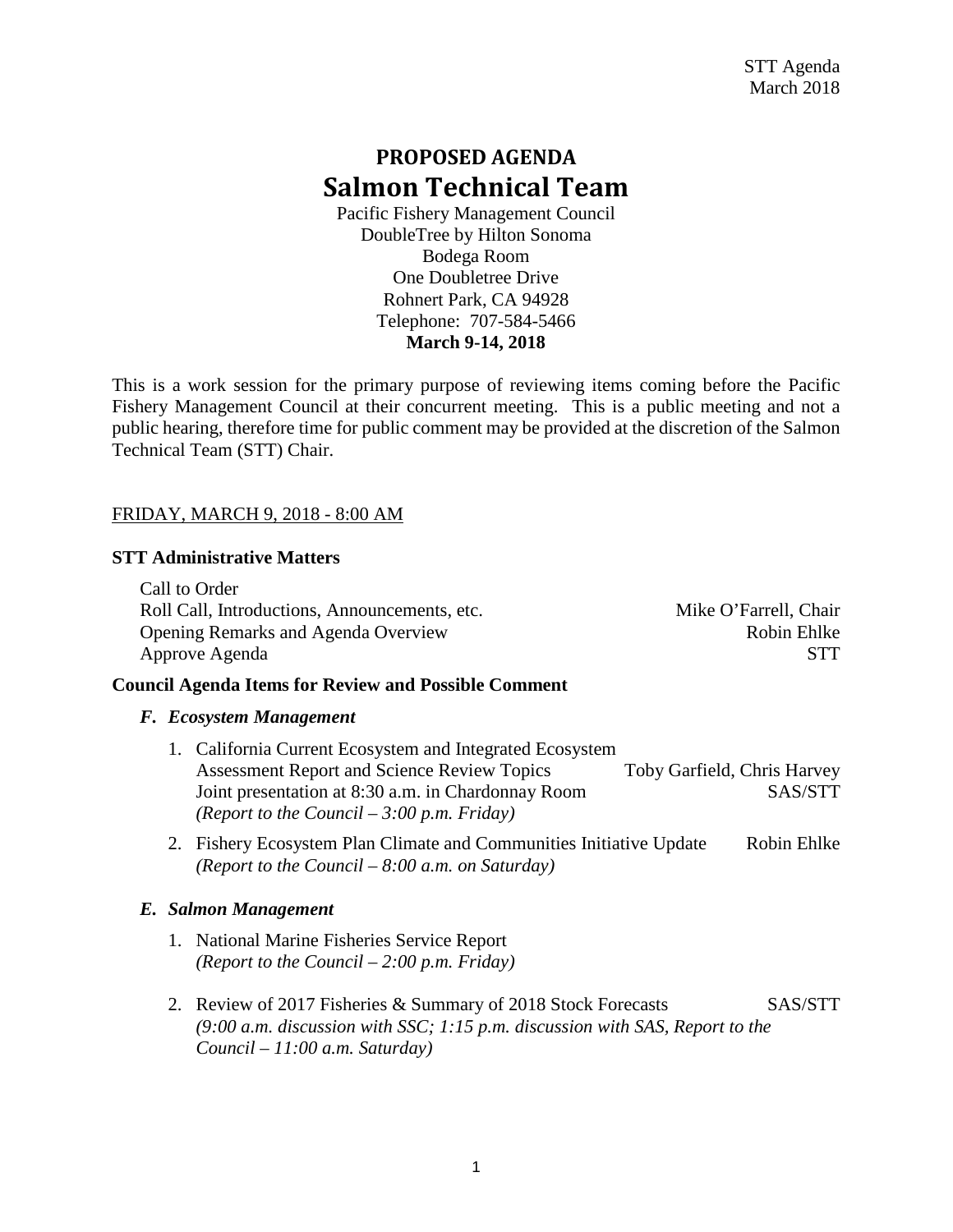# **PROPOSED AGENDA Salmon Technical Team**

Pacific Fishery Management Council DoubleTree by Hilton Sonoma Bodega Room One Doubletree Drive Rohnert Park, CA 94928 Telephone: 707-584-5466 **March 9-14, 2018**

This is a work session for the primary purpose of reviewing items coming before the Pacific Fishery Management Council at their concurrent meeting. This is a public meeting and not a public hearing, therefore time for public comment may be provided at the discretion of the Salmon Technical Team (STT) Chair.

## FRIDAY, MARCH 9, 2018 - 8:00 AM

## **STT Administrative Matters**

Call to Order Roll Call, Introductions, Announcements, etc. Mike O'Farrell, Chair Opening Remarks and Agenda Overview Robin Ehlke Approve Agenda STT

## **Council Agenda Items for Review and Possible Comment**

#### *F. Ecosystem Management*

- 1. California Current Ecosystem and Integrated Ecosystem Assessment Report and Science Review Topics Toby Garfield, Chris Harvey Joint presentation at 8:30 a.m. in Chardonnay Room SAS/STT *(Report to the Council – 3:00 p.m. Friday)*
- 2. Fishery Ecosystem Plan Climate and Communities Initiative Update Robin Ehlke *(Report to the Council – 8:00 a.m. on Saturday)*

## *E. Salmon Management*

- 1. National Marine Fisheries Service Report *(Report to the Council – 2:00 p.m. Friday)*
- 2. Review of 2017 Fisheries & Summary of 2018 Stock Forecasts SAS/STT *(9:00 a.m. discussion with SSC; 1:15 p.m. discussion with SAS, Report to the Council – 11:00 a.m. Saturday)*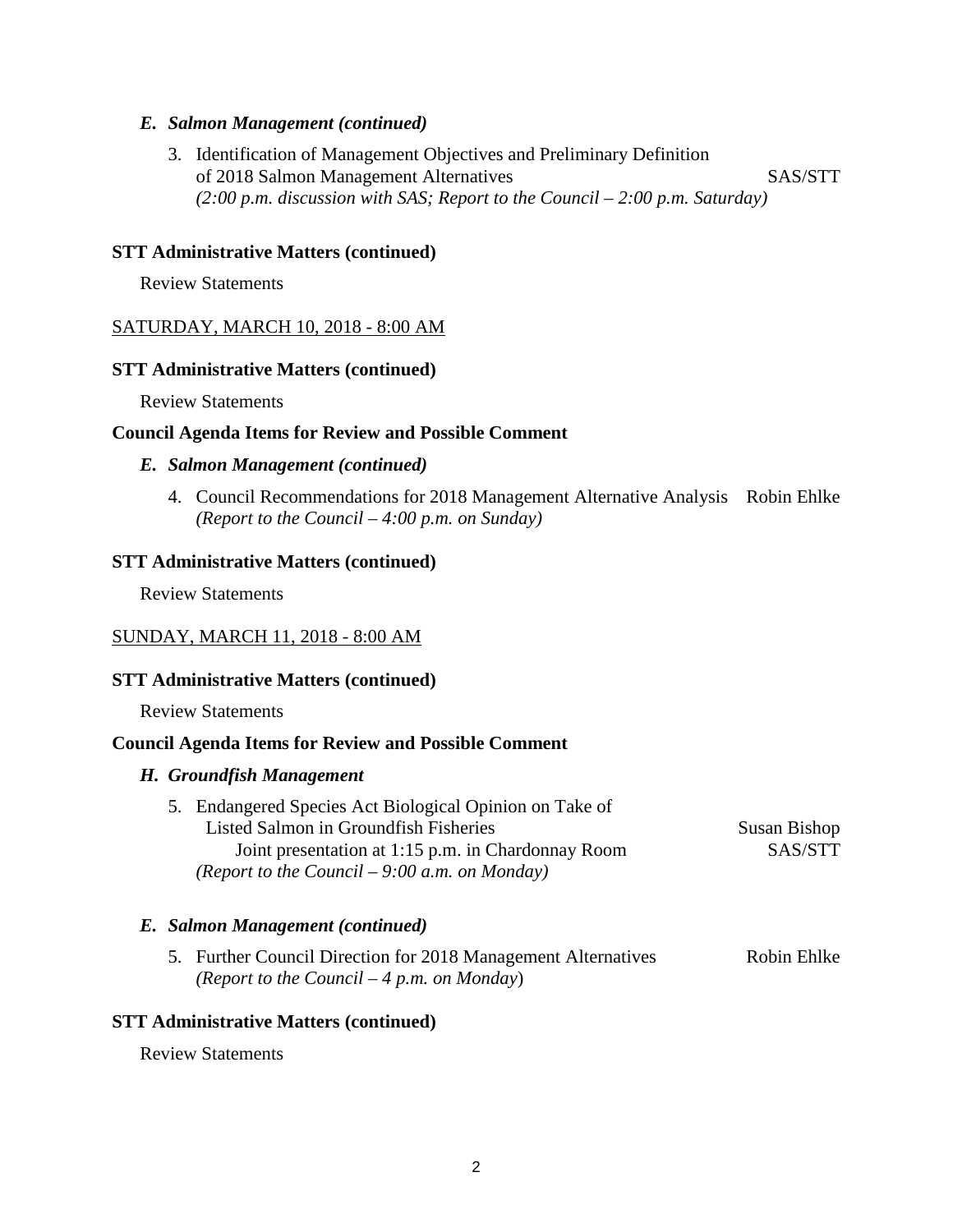## *E. Salmon Management (continued)*

3. Identification of Management Objectives and Preliminary Definition of 2018 Salmon Management Alternatives SAS/STT *(2:00 p.m. discussion with SAS; Report to the Council – 2:00 p.m. Saturday)*

#### **STT Administrative Matters (continued)**

Review Statements

## SATURDAY, MARCH 10, 2018 - 8:00 AM

#### **STT Administrative Matters (continued)**

Review Statements

#### **Council Agenda Items for Review and Possible Comment**

#### *E. Salmon Management (continued)*

4. Council Recommendations for 2018 Management Alternative Analysis Robin Ehlke *(Report to the Council – 4:00 p.m. on Sunday)*

#### **STT Administrative Matters (continued)**

Review Statements

## SUNDAY, MARCH 11, 2018 - 8:00 AM

#### **STT Administrative Matters (continued)**

Review Statements

## **Council Agenda Items for Review and Possible Comment**

#### *H. Groundfish Management*

5. Endangered Species Act Biological Opinion on Take of Listed Salmon in Groundfish Fisheries Susan Bishop Joint presentation at 1:15 p.m. in Chardonnay Room SAS/STT *(Report to the Council – 9:00 a.m. on Monday)*

## *E. Salmon Management (continued)*

5. Further Council Direction for 2018 Management Alternatives Robin Ehlke *(Report to the Council – 4 p.m. on Monday*)

## **STT Administrative Matters (continued)**

Review Statements